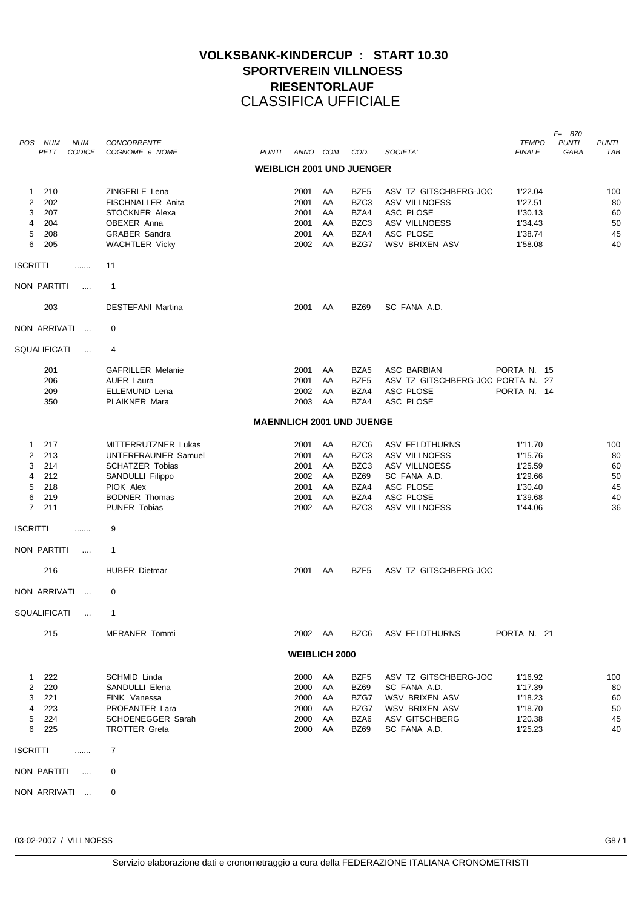## **VOLKSBANK-KINDERCUP : START 10.30 SPORTVEREIN VILLNOESS RIESENTORLAUF** CLASSIFICA UFFICIALE

| <b>NUM</b><br>POS NUM<br>PETT<br><b>CODICE</b>                                                           | <b>CONCORRENTE</b><br>COGNOME e NOME<br><b>PUNTI</b>                                                                                                 | ANNO COM                                             |                                        | COD.                                                        | SOCIETA'                                                                                                           | <b>TEMPO</b><br><b>FINALE</b>                                             | $F = 870$<br><b>PUNTI</b><br>GARA | <b>PUNTI</b><br><b>TAB</b>              |
|----------------------------------------------------------------------------------------------------------|------------------------------------------------------------------------------------------------------------------------------------------------------|------------------------------------------------------|----------------------------------------|-------------------------------------------------------------|--------------------------------------------------------------------------------------------------------------------|---------------------------------------------------------------------------|-----------------------------------|-----------------------------------------|
|                                                                                                          |                                                                                                                                                      |                                                      |                                        | WEIBLICH 2001 UND JUENGER                                   |                                                                                                                    |                                                                           |                                   |                                         |
| 210<br>1.<br>202<br>2<br>3<br>207<br>4<br>204<br>5<br>208<br>6<br>205                                    | ZINGERLE Lena<br><b>FISCHNALLER Anita</b><br>STOCKNER Alexa<br>OBEXER Anna<br><b>GRABER Sandra</b><br><b>WACHTLER Vicky</b>                          | 2001<br>2001<br>2001<br>2001<br>2001<br>2002         | AA<br>AA<br>AA<br>AA<br>AA<br>AA       | BZF5<br>BZC3<br>BZA4<br>BZC3<br>BZA4<br>BZG7                | ASV TZ GITSCHBERG-JOC<br><b>ASV VILLNOESS</b><br>ASC PLOSE<br>ASV VILLNOESS<br>ASC PLOSE<br><b>WSV BRIXEN ASV</b>  | 1'22.04<br>1'27.51<br>1'30.13<br>1'34.43<br>1'38.74<br>1'58.08            |                                   | 100<br>80<br>60<br>50<br>45<br>40       |
| <b>ISCRITTI</b><br>.                                                                                     | 11                                                                                                                                                   |                                                      |                                        |                                                             |                                                                                                                    |                                                                           |                                   |                                         |
| NON PARTITI<br>$\cdots$                                                                                  | $\mathbf{1}$                                                                                                                                         |                                                      |                                        |                                                             |                                                                                                                    |                                                                           |                                   |                                         |
| 203                                                                                                      | <b>DESTEFANI Martina</b>                                                                                                                             | 2001                                                 | AA                                     | <b>BZ69</b>                                                 | SC FANA A.D.                                                                                                       |                                                                           |                                   |                                         |
| NON ARRIVATI<br>$\sim$                                                                                   | 0                                                                                                                                                    |                                                      |                                        |                                                             |                                                                                                                    |                                                                           |                                   |                                         |
| <b>SQUALIFICATI</b><br>$\cdots$                                                                          | 4                                                                                                                                                    |                                                      |                                        |                                                             |                                                                                                                    |                                                                           |                                   |                                         |
| 201<br>206<br>209<br>350                                                                                 | <b>GAFRILLER Melanie</b><br><b>AUER Laura</b><br>ELLEMUND Lena<br>PLAIKNER Mara                                                                      | 2001<br>2001<br>2002<br>2003                         | AA<br>AA<br>AA<br>AA                   | BZA5<br>BZF5<br>BZA4<br>BZA4                                | <b>ASC BARBIAN</b><br>ASV TZ GITSCHBERG-JOC PORTA N. 27<br>ASC PLOSE<br>ASC PLOSE                                  | PORTA N. 15<br>PORTA N. 14                                                |                                   |                                         |
|                                                                                                          | <b>MAENNLICH 2001 UND JUENGE</b>                                                                                                                     |                                                      |                                        |                                                             |                                                                                                                    |                                                                           |                                   |                                         |
| 217<br>$\mathbf{1}$<br>2<br>213<br>3<br>214<br>4<br>212<br>5<br>218<br>6<br>219<br>$\overline{7}$<br>211 | MITTERRUTZNER Lukas<br>UNTERFRAUNER Samuel<br><b>SCHATZER Tobias</b><br>SANDULLI Filippo<br>PIOK Alex<br><b>BODNER Thomas</b><br><b>PUNER Tobias</b> | 2001<br>2001<br>2001<br>2002<br>2001<br>2001<br>2002 | AA<br>AA<br>AA<br>AA<br>AA<br>AA<br>AA | BZC6<br>BZC3<br>BZC3<br><b>BZ69</b><br>BZA4<br>BZA4<br>BZC3 | ASV FELDTHURNS<br>ASV VILLNOESS<br>ASV VILLNOESS<br>SC FANA A.D.<br>ASC PLOSE<br>ASC PLOSE<br><b>ASV VILLNOESS</b> | 1'11.70<br>1'15.76<br>1'25.59<br>1'29.66<br>1'30.40<br>1'39.68<br>1'44.06 |                                   | 100<br>80<br>60<br>50<br>45<br>40<br>36 |
| <b>ISCRITTI</b><br>                                                                                      | 9                                                                                                                                                    |                                                      |                                        |                                                             |                                                                                                                    |                                                                           |                                   |                                         |
| NON PARTITI<br>$\cdots$                                                                                  | $\mathbf 1$                                                                                                                                          |                                                      |                                        |                                                             |                                                                                                                    |                                                                           |                                   |                                         |
| 216                                                                                                      | <b>HUBER Dietmar</b>                                                                                                                                 | 2001                                                 | AA                                     | BZF5                                                        | ASV TZ GITSCHBERG-JOC                                                                                              |                                                                           |                                   |                                         |
| NON ARRIVATI<br>$\sim$ . $\sim$                                                                          | 0                                                                                                                                                    |                                                      |                                        |                                                             |                                                                                                                    |                                                                           |                                   |                                         |
| SQUALIFICATI                                                                                             | -1                                                                                                                                                   |                                                      |                                        |                                                             |                                                                                                                    |                                                                           |                                   |                                         |
| 215                                                                                                      | <b>MERANER Tommi</b>                                                                                                                                 | 2002 AA                                              |                                        | BZC6                                                        | ASV FELDTHURNS                                                                                                     | PORTA N. 21                                                               |                                   |                                         |
|                                                                                                          |                                                                                                                                                      | <b>WEIBLICH 2000</b>                                 |                                        |                                                             |                                                                                                                    |                                                                           |                                   |                                         |
| 222<br>$1 \quad$<br>2<br>220<br>3<br>221<br>4<br>223<br>5<br>224<br>6<br>225                             | SCHMID Linda<br>SANDULLI Elena<br>FINK Vanessa<br>PROFANTER Lara<br><b>SCHOENEGGER Sarah</b><br><b>TROTTER Greta</b>                                 | 2000 AA<br>2000<br>2000<br>2000<br>2000<br>2000 AA   | AA<br>AA<br>AA<br>AA                   | BZF5<br>BZ69<br>BZG7<br>BZG7<br>BZA6<br>BZ69                | ASV TZ GITSCHBERG-JOC<br>SC FANA A.D.<br><b>WSV BRIXEN ASV</b><br>WSV BRIXEN ASV<br>ASV GITSCHBERG<br>SC FANA A.D. | 1'16.92<br>1'17.39<br>1'18.23<br>1'18.70<br>1'20.38<br>1'25.23            |                                   | 100<br>80<br>60<br>50<br>45<br>40       |
| <b>ISCRITTI</b><br>.                                                                                     | 7                                                                                                                                                    |                                                      |                                        |                                                             |                                                                                                                    |                                                                           |                                   |                                         |
| NON PARTITI<br>$\ldots$                                                                                  | 0                                                                                                                                                    |                                                      |                                        |                                                             |                                                                                                                    |                                                                           |                                   |                                         |
| NON ARRIVATI                                                                                             | 0                                                                                                                                                    |                                                      |                                        |                                                             |                                                                                                                    |                                                                           |                                   |                                         |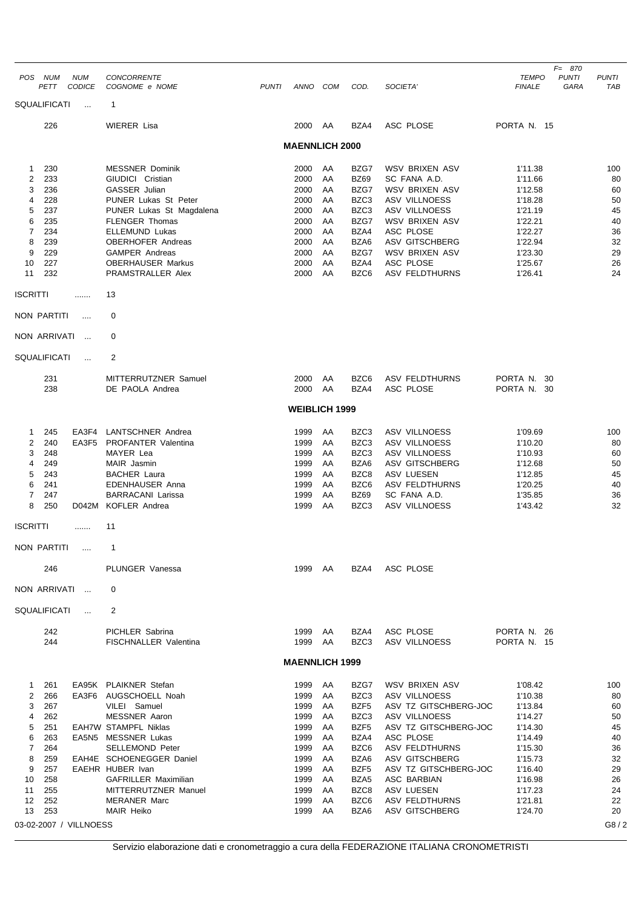| POS NUM         | PETT                | <b>NUM</b><br><b>CODICE</b> | <b>CONCORRENTE</b><br>COGNOME e NOME              | <b>PUNTI</b> | ANNO                  | COM      | COD.                     | SOCIETA'                               | <b>TEMPO</b><br><b>FINALE</b> | $F = 870$<br><b>PUNTI</b><br>GARA | <b>PUNTI</b><br>TAB |
|-----------------|---------------------|-----------------------------|---------------------------------------------------|--------------|-----------------------|----------|--------------------------|----------------------------------------|-------------------------------|-----------------------------------|---------------------|
|                 | <b>SQUALIFICATI</b> | $\ddotsc$                   | $\mathbf{1}$                                      |              |                       |          |                          |                                        |                               |                                   |                     |
|                 | 226                 |                             | <b>WIERER Lisa</b>                                |              | 2000                  | AA       | BZA4                     | ASC PLOSE                              | PORTA N. 15                   |                                   |                     |
|                 |                     |                             |                                                   |              | <b>MAENNLICH 2000</b> |          |                          |                                        |                               |                                   |                     |
|                 |                     |                             |                                                   |              |                       |          |                          |                                        |                               |                                   |                     |
| 1               | 230                 |                             | <b>MESSNER Dominik</b>                            |              | 2000                  | AA       | BZG7                     | WSV BRIXEN ASV                         | 1'11.38                       |                                   | 100                 |
| 2               | 233                 |                             | GIUDICI Cristian                                  |              | 2000                  | AA       | <b>BZ69</b>              | SC FANA A.D.                           | 1'11.66                       |                                   | 80                  |
| 3               | 236                 |                             | GASSER Julian                                     |              | 2000                  | AA       | BZG7                     | WSV BRIXEN ASV                         | 1'12.58                       |                                   | 60                  |
| 4               | 228                 |                             | PUNER Lukas St Peter                              |              | 2000                  | AA       | BZC <sub>3</sub>         | <b>ASV VILLNOESS</b>                   | 1'18.28                       |                                   | 50                  |
| 5<br>6          | 237<br>235          |                             | PUNER Lukas St Magdalena<br><b>FLENGER Thomas</b> |              | 2000<br>2000          | AA<br>AA | BZC <sub>3</sub><br>BZG7 | <b>ASV VILLNOESS</b><br>WSV BRIXEN ASV | 1'21.19<br>1'22.21            |                                   | 45<br>40            |
| $\overline{7}$  | 234                 |                             | <b>ELLEMUND Lukas</b>                             |              | 2000                  | AA       | BZA4                     | ASC PLOSE                              | 1'22.27                       |                                   | 36                  |
| 8               | 239                 |                             | <b>OBERHOFER Andreas</b>                          |              | 2000                  | AA       | BZA6                     | <b>ASV GITSCHBERG</b>                  | 1'22.94                       |                                   | 32                  |
| 9               | 229                 |                             | <b>GAMPER Andreas</b>                             |              | 2000                  | AA       | BZG7                     | WSV BRIXEN ASV                         | 1'23.30                       |                                   | 29                  |
| 10              | 227                 |                             | <b>OBERHAUSER Markus</b>                          |              | 2000                  | AA       | BZA4                     | ASC PLOSE                              | 1'25.67                       |                                   | 26                  |
| 11              | 232                 |                             | PRAMSTRALLER Alex                                 |              | 2000                  | AA       | BZC6                     | <b>ASV FELDTHURNS</b>                  | 1'26.41                       |                                   | 24                  |
| <b>ISCRITTI</b> |                     | .                           | 13                                                |              |                       |          |                          |                                        |                               |                                   |                     |
|                 | <b>NON PARTITI</b>  | $\cdots$                    | 0                                                 |              |                       |          |                          |                                        |                               |                                   |                     |
|                 | NON ARRIVATI        | $\ddotsc$                   | 0                                                 |              |                       |          |                          |                                        |                               |                                   |                     |
|                 | SQUALIFICATI        | $\ddotsc$                   | 2                                                 |              |                       |          |                          |                                        |                               |                                   |                     |
|                 |                     |                             |                                                   |              |                       |          |                          |                                        |                               |                                   |                     |
|                 | 231<br>238          |                             | MITTERRUTZNER Samuel<br>DE PAOLA Andrea           |              | 2000<br>2000          | AA<br>AA | BZC6<br>BZA4             | <b>ASV FELDTHURNS</b><br>ASC PLOSE     | PORTA N. 30<br>PORTA N. 30    |                                   |                     |
|                 |                     |                             |                                                   |              |                       |          |                          |                                        |                               |                                   |                     |
|                 |                     |                             |                                                   |              | <b>WEIBLICH 1999</b>  |          |                          |                                        |                               |                                   |                     |
| 1               | 245                 | EA3F4                       | LANTSCHNER Andrea                                 |              | 1999                  | AA       | BZC <sub>3</sub>         | <b>ASV VILLNOESS</b>                   | 1'09.69                       |                                   | 100                 |
| 2               | 240                 |                             | EA3F5 PROFANTER Valentina                         |              | 1999                  | AA       | BZC3                     | <b>ASV VILLNOESS</b>                   | 1'10.20                       |                                   | 80                  |
| 3               | 248                 |                             | MAYER Lea                                         |              | 1999                  | AA       | BZC3                     | <b>ASV VILLNOESS</b>                   | 1'10.93                       |                                   | 60                  |
| 4               | 249                 |                             | MAIR Jasmin                                       |              | 1999                  | AA       | BZA6                     | ASV GITSCHBERG                         | 1'12.68                       |                                   | 50                  |
| 5<br>6          | 243<br>241          |                             | <b>BACHER Laura</b><br><b>EDENHAUSER Anna</b>     |              | 1999<br>1999          | AA<br>AA | BZC8<br>BZC6             | ASV LUESEN<br><b>ASV FELDTHURNS</b>    | 1'12.85<br>1'20.25            |                                   | 45<br>40            |
| 7               | 247                 |                             | <b>BARRACANI Larissa</b>                          |              | 1999                  | AA       | <b>BZ69</b>              | SC FANA A.D.                           | 1'35.85                       |                                   | 36                  |
| 8               | 250                 |                             | D042M KOFLER Andrea                               |              | 1999                  | AA       | BZC3                     | <b>ASV VILLNOESS</b>                   | 1'43.42                       |                                   | 32                  |
| <b>ISCRITTI</b> |                     |                             | 11                                                |              |                       |          |                          |                                        |                               |                                   |                     |
|                 |                     |                             |                                                   |              |                       |          |                          |                                        |                               |                                   |                     |
|                 | NON PARTITI         | $\cdots$                    | 1                                                 |              |                       |          |                          |                                        |                               |                                   |                     |
|                 | 246                 |                             | PLUNGER Vanessa                                   |              | 1999                  | AA       | BZA4                     | ASC PLOSE                              |                               |                                   |                     |
|                 | NON ARRIVATI        | $\sim$                      | 0                                                 |              |                       |          |                          |                                        |                               |                                   |                     |
|                 | <b>SQUALIFICATI</b> | $\ddotsc$                   | 2                                                 |              |                       |          |                          |                                        |                               |                                   |                     |
|                 | 242                 |                             | PICHLER Sabrina                                   |              | 1999                  | AA       | BZA4                     | ASC PLOSE                              | PORTA N. 26                   |                                   |                     |
|                 | 244                 |                             | FISCHNALLER Valentina                             |              | 1999                  | AA       | BZC3                     | <b>ASV VILLNOESS</b>                   | PORTA N. 15                   |                                   |                     |
|                 |                     |                             |                                                   |              | <b>MAENNLICH 1999</b> |          |                          |                                        |                               |                                   |                     |
| 1.              | 261                 |                             | EA95K PLAIKNER Stefan                             |              | 1999                  | AA       | BZG7                     | WSV BRIXEN ASV                         | 1'08.42                       |                                   | 100                 |
| 2               | 266                 |                             | EA3F6 AUGSCHOELL Noah                             |              | 1999                  | AA       | BZC3                     | ASV VILLNOESS                          | 1'10.38                       |                                   | 80                  |
| 3               | 267                 |                             | VILEI Samuel                                      |              | 1999                  | AA       | BZF <sub>5</sub>         | ASV TZ GITSCHBERG-JOC                  | 1'13.84                       |                                   | 60                  |
| 4               | 262                 |                             | <b>MESSNER Aaron</b>                              |              | 1999                  | AA       | BZC3                     | ASV VILLNOESS                          | 1'14.27                       |                                   | 50                  |
| 5               | 251                 |                             | <b>EAH7W STAMPFL Niklas</b>                       |              | 1999                  | AA       | BZF <sub>5</sub>         | ASV TZ GITSCHBERG-JOC                  | 1'14.30                       |                                   | 45                  |
| 6<br>7          | 263<br>264          |                             | EA5N5 MESSNER Lukas<br><b>SELLEMOND Peter</b>     |              | 1999<br>1999          | AA<br>AA | BZA4<br>BZC6             | ASC PLOSE<br>ASV FELDTHURNS            | 1'14.49                       |                                   | 40<br>36            |
| 8               | 259                 |                             | EAH4E SCHOENEGGER Daniel                          |              | 1999                  | AA       | BZA6                     | ASV GITSCHBERG                         | 1'15.30<br>1'15.73            |                                   | 32                  |
| 9               | 257                 |                             | EAEHR HUBER Ivan                                  |              | 1999                  | AA       | BZF <sub>5</sub>         | ASV TZ GITSCHBERG-JOC                  | 1'16.40                       |                                   | 29                  |
| 10              | 258                 |                             | <b>GAFRILLER Maximilian</b>                       |              | 1999                  | AA       | BZA <sub>5</sub>         | ASC BARBIAN                            | 1'16.98                       |                                   | 26                  |
| 11              | 255                 |                             | MITTERRUTZNER Manuel                              |              | 1999                  | AA       | BZC8                     | ASV LUESEN                             | 1'17.23                       |                                   | 24                  |
| 12              | 252                 |                             | <b>MERANER Marc</b>                               |              | 1999                  | AA       | BZC6                     | ASV FELDTHURNS                         | 1'21.81                       |                                   | 22                  |
| 13              | 253                 |                             | MAIR Heiko                                        |              | 1999                  | AA       | BZA6                     | ASV GITSCHBERG                         | 1'24.70                       |                                   | 20                  |
|                 |                     | 03-02-2007 / VILLNOESS      |                                                   |              |                       |          |                          |                                        |                               |                                   | G8/2                |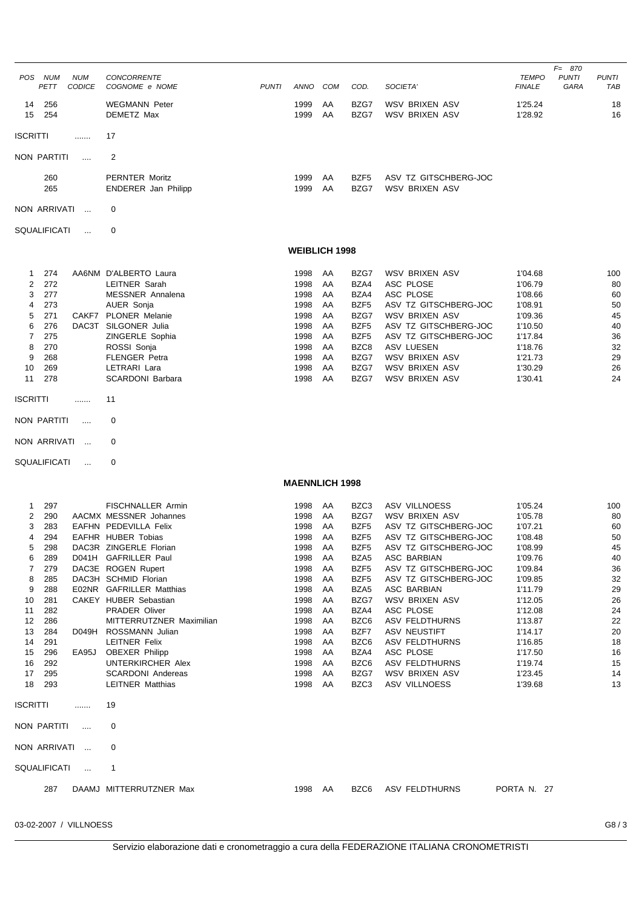| POS NUM<br>PETT               | <b>NUM</b><br><b>CODICE</b> | <b>CONCORRENTE</b><br>COGNOME e NOME                | <b>PUNTI</b> | ANNO         | COM                   | COD.                     | SOCIETA'                                       | TEMPO<br><b>FINALE</b> | $F = 870$<br><b>PUNTI</b><br><b>PUNTI</b><br>GARA<br>TAB |
|-------------------------------|-----------------------------|-----------------------------------------------------|--------------|--------------|-----------------------|--------------------------|------------------------------------------------|------------------------|----------------------------------------------------------|
| 256<br>14                     |                             | <b>WEGMANN Peter</b>                                |              | 1999         | AA                    | BZG7                     | WSV BRIXEN ASV                                 | 1'25.24                | 18                                                       |
| 254<br>15<br><b>ISCRITTI</b>  | .                           | DEMETZ Max<br>17                                    |              | 1999         | AA                    | BZG7                     | WSV BRIXEN ASV                                 | 1'28.92                | 16                                                       |
|                               |                             | $\overline{2}$                                      |              |              |                       |                          |                                                |                        |                                                          |
| NON PARTITI                   |                             |                                                     |              |              |                       |                          |                                                |                        |                                                          |
| 260<br>265                    |                             | <b>PERNTER Moritz</b><br><b>ENDERER Jan Philipp</b> |              | 1999<br>1999 | AA<br>AA              | BZF5<br>BZG7             | ASV TZ GITSCHBERG-JOC<br>WSV BRIXEN ASV        |                        |                                                          |
| NON ARRIVATI<br>0<br>$\cdots$ |                             |                                                     |              |              |                       |                          |                                                |                        |                                                          |
| <b>SQUALIFICATI</b>           | $\cdots$                    | 0                                                   |              |              |                       |                          |                                                |                        |                                                          |
|                               |                             |                                                     |              |              | <b>WEIBLICH 1998</b>  |                          |                                                |                        |                                                          |
| 274<br>1                      |                             | AA6NM D'ALBERTO Laura                               |              | 1998         | AA                    | BZG7                     | WSV BRIXEN ASV                                 | 1'04.68                | 100                                                      |
| 272<br>2                      |                             | LEITNER Sarah                                       |              | 1998         | AA                    | BZA4                     | ASC PLOSE                                      | 1'06.79                | 80                                                       |
| 277<br>3                      |                             | <b>MESSNER</b> Annalena                             |              | 1998         | AA                    | BZA4                     | ASC PLOSE                                      | 1'08.66                | 60                                                       |
| 273<br>4<br>271<br>5          |                             | AUER Sonja<br>CAKF7 PLONER Melanie                  |              | 1998<br>1998 | AA<br>AA              | BZF <sub>5</sub><br>BZG7 | ASV TZ GITSCHBERG-JOC<br><b>WSV BRIXEN ASV</b> | 1'08.91<br>1'09.36     | 50<br>45                                                 |
| 276<br>6                      |                             | DAC3T SILGONER Julia                                |              | 1998         | AA                    | BZF <sub>5</sub>         | ASV TZ GITSCHBERG-JOC                          | 1'10.50                | 40                                                       |
| 7<br>275                      |                             | ZINGERLE Sophia                                     |              | 1998         | AA                    | BZF5                     | ASV TZ GITSCHBERG-JOC                          | 1'17.84                | 36                                                       |
| 270<br>8                      |                             | ROSSI Sonja                                         |              | 1998         | AA                    | BZC8                     | <b>ASV LUESEN</b>                              | 1'18.76                | 32                                                       |
| 9<br>268                      |                             | <b>FLENGER Petra</b>                                |              | 1998         | AA                    | BZG7                     | WSV BRIXEN ASV                                 | 1'21.73                | 29                                                       |
| 269<br>10<br>278              |                             | LETRARI Lara<br><b>SCARDONI Barbara</b>             |              | 1998<br>1998 | AA<br>AA              | BZG7<br>BZG7             | WSV BRIXEN ASV<br>WSV BRIXEN ASV               | 1'30.29                | 26<br>24                                                 |
| 11                            |                             |                                                     |              |              |                       |                          |                                                | 1'30.41                |                                                          |
| <b>ISCRITTI</b>               | .                           | 11                                                  |              |              |                       |                          |                                                |                        |                                                          |
| NON PARTITI                   | $\cdots$                    | 0                                                   |              |              |                       |                          |                                                |                        |                                                          |
| NON ARRIVATI                  | $\ddotsc$                   | 0                                                   |              |              |                       |                          |                                                |                        |                                                          |
|                               |                             |                                                     |              |              |                       |                          |                                                |                        |                                                          |
| SQUALIFICATI                  | $\cdots$                    | 0                                                   |              |              |                       |                          |                                                |                        |                                                          |
|                               |                             |                                                     |              |              | <b>MAENNLICH 1998</b> |                          |                                                |                        |                                                          |
| 297<br>1                      |                             | <b>FISCHNALLER Armin</b>                            |              | 1998         | AA                    | BZC3                     | <b>ASV VILLNOESS</b>                           | 1'05.24                | 100                                                      |
| 290<br>2                      |                             | AACMX MESSNER Johannes                              |              | 1998         | AA                    | BZG7                     | WSV BRIXEN ASV                                 | 1'05.78                | 80                                                       |
| 283<br>3                      |                             | EAFHN PEDEVILLA Felix                               |              | 1998         | AA                    | BZF5                     | ASV TZ GITSCHBERG-JOC                          | 1'07.21                | 60                                                       |
| 294<br>4                      |                             | EAFHR HUBER Tobias                                  |              | 1998         | AA                    | BZF5                     | ASV TZ GITSCHBERG-JOC                          | 1'08.48                | 50                                                       |
| 298<br>289<br>6               |                             | DAC3R ZINGERLE Florian<br>D041H GAFRILLER Paul      |              | 1998<br>1998 | AA<br>AA              | BZF5<br>BZA5             | ASV TZ GITSCHBERG-JOC<br>ASC BARBIAN           | 1'08.99<br>1'09.76     | 45<br>40                                                 |
| 279<br>7                      |                             | DAC3E ROGEN Rupert                                  |              | 1998         | AA                    | BZF5                     | ASV TZ GITSCHBERG-JOC                          | 1'09.84                | 36                                                       |
| 285<br>8                      |                             | DAC3H SCHMID Florian                                |              | 1998         | AA                    | BZF5                     | ASV TZ GITSCHBERG-JOC                          | 1'09.85                | 32                                                       |
| 288<br>9                      |                             | E02NR GAFRILLER Matthias                            |              | 1998         | AA                    | BZA5                     | ASC BARBIAN                                    | 1'11.79                | 29                                                       |
| 10<br>281                     |                             | CAKEY HUBER Sebastian                               |              | 1998         | AA                    | BZG7                     | <b>WSV BRIXEN ASV</b>                          | 1'12.05                | 26                                                       |
| 282<br>11<br>12<br>286        |                             | <b>PRADER Oliver</b><br>MITTERRUTZNER Maximilian    |              | 1998<br>1998 | AA<br>AA              | BZA4<br>BZC6             | ASC PLOSE<br><b>ASV FELDTHURNS</b>             | 1'12.08<br>1'13.87     | 24<br>22                                                 |
| 284<br>13                     |                             | D049H ROSSMANN Julian                               |              | 1998         | AA                    | BZF7                     | ASV NEUSTIFT                                   | 1'14.17                | 20                                                       |
| 14<br>291                     |                             | <b>LEITNER Felix</b>                                |              | 1998         | AA                    | BZC6                     | ASV FELDTHURNS                                 | 1'16.85                | 18                                                       |
| 296<br>15                     | EA95J                       | <b>OBEXER Philipp</b>                               |              | 1998         | AA                    | BZA4                     | ASC PLOSE                                      | 1'17.50                | 16                                                       |
| 292<br>16                     |                             | UNTERKIRCHER Alex                                   |              | 1998         | AA                    | BZC6                     | ASV FELDTHURNS                                 | 1'19.74                | 15                                                       |
| 295<br>17<br>18<br>293        |                             | <b>SCARDONI Andereas</b><br><b>LEITNER Matthias</b> |              | 1998<br>1998 | AA<br>AA              | BZG7<br>BZC3             | WSV BRIXEN ASV<br>ASV VILLNOESS                | 1'23.45<br>1'39.68     | 14<br>13                                                 |
| <b>ISCRITTI</b>               | .                           | 19                                                  |              |              |                       |                          |                                                |                        |                                                          |
| NON PARTITI                   | $\cdots$                    | 0                                                   |              |              |                       |                          |                                                |                        |                                                          |
| NON ARRIVATI                  | $\ldots$                    | 0                                                   |              |              |                       |                          |                                                |                        |                                                          |
| SQUALIFICATI                  | $\ddotsc$                   | $\mathbf{1}$                                        |              |              |                       |                          |                                                |                        |                                                          |
| 287                           |                             | DAAMJ MITTERRUTZNER Max                             |              | 1998 AA      |                       | BZC6                     | ASV FELDTHURNS                                 | PORTA N. 27            |                                                          |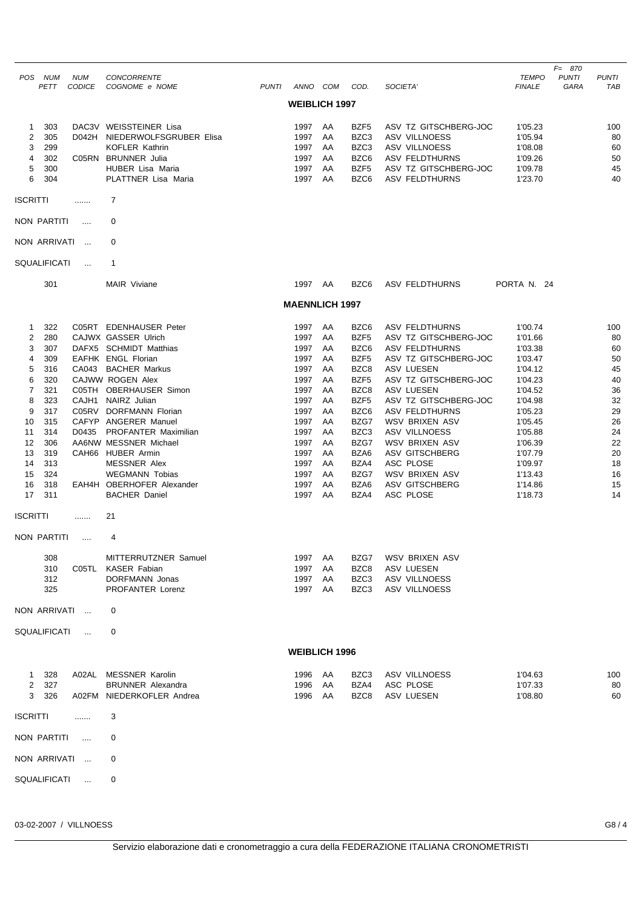|                 |                    |                          |                                                     |              |                       |          |                          |                                                |                               | $F = 870$            |                     |
|-----------------|--------------------|--------------------------|-----------------------------------------------------|--------------|-----------------------|----------|--------------------------|------------------------------------------------|-------------------------------|----------------------|---------------------|
| <b>POS</b>      | <b>NUM</b><br>PETT | <b>NUM</b><br>CODICE     | <b>CONCORRENTE</b><br>COGNOME e NOME                | <b>PUNTI</b> | ANNO COM              |          | COD.                     | SOCIETA'                                       | <b>TEMPO</b><br><b>FINALE</b> | <b>PUNTI</b><br>GARA | <b>PUNTI</b><br>TAB |
|                 |                    |                          |                                                     |              | <b>WEIBLICH 1997</b>  |          |                          |                                                |                               |                      |                     |
|                 |                    |                          |                                                     |              |                       |          |                          |                                                |                               |                      |                     |
| 1               | 303                |                          | DAC3V WEISSTEINER Lisa                              |              | 1997                  | AA       | BZF <sub>5</sub>         | ASV TZ GITSCHBERG-JOC                          | 1'05.23                       |                      | 100                 |
| 2               | 305                |                          | D042H NIEDERWOLFSGRUBER Elisa                       |              | 1997                  | AA       | BZC3                     | <b>ASV VILLNOESS</b>                           | 1'05.94                       |                      | 80                  |
| 3<br>4          | 299<br>302         |                          | <b>KOFLER Kathrin</b><br>C05RN BRUNNER Julia        |              | 1997<br>1997          | AA<br>AA | BZC3<br>BZC6             | <b>ASV VILLNOESS</b><br><b>ASV FELDTHURNS</b>  | 1'08.08<br>1'09.26            |                      | 60<br>50            |
| 5               | 300                |                          | HUBER Lisa Maria                                    |              | 1997                  | AA       | BZF <sub>5</sub>         | ASV TZ GITSCHBERG-JOC                          | 1'09.78                       |                      | 45                  |
| 6               | 304                |                          | PLATTNER Lisa Maria                                 |              | 1997                  | AA       | BZC6                     | <b>ASV FELDTHURNS</b>                          | 1'23.70                       |                      | 40                  |
| <b>ISCRITTI</b> |                    | .                        | 7                                                   |              |                       |          |                          |                                                |                               |                      |                     |
|                 | NON PARTITI        | $\cdots$                 | 0                                                   |              |                       |          |                          |                                                |                               |                      |                     |
|                 | NON ARRIVATI       | $\ddotsc$                | 0                                                   |              |                       |          |                          |                                                |                               |                      |                     |
|                 | SQUALIFICATI       | $\cdots$                 | 1                                                   |              |                       |          |                          |                                                |                               |                      |                     |
|                 | 301                |                          | <b>MAIR Viviane</b>                                 |              | 1997                  | AA       | BZC6                     | <b>ASV FELDTHURNS</b>                          | PORTA N. 24                   |                      |                     |
|                 |                    |                          |                                                     |              | <b>MAENNLICH 1997</b> |          |                          |                                                |                               |                      |                     |
|                 |                    |                          |                                                     |              |                       |          |                          |                                                |                               |                      |                     |
| 1               | 322                |                          | C05RT EDENHAUSER Peter                              |              | 1997                  | AA       | BZC6                     | <b>ASV FELDTHURNS</b>                          | 1'00.74                       |                      | 100                 |
| 2               | 280                |                          | CAJWX GASSER Ulrich                                 |              | 1997                  | AA       | BZF5                     | ASV TZ GITSCHBERG-JOC                          | 1'01.66                       |                      | 80                  |
| 3<br>4          | 307<br>309         |                          | DAFX5 SCHMIDT Matthias<br><b>EAFHK ENGL Florian</b> |              | 1997<br>1997          | AA<br>AA | BZC6<br>BZF <sub>5</sub> | <b>ASV FELDTHURNS</b><br>ASV TZ GITSCHBERG-JOC | 1'03.38                       |                      | 60<br>50            |
| 5               | 316                |                          | CA043 BACHER Markus                                 |              | 1997                  | AA       | BZC8                     | <b>ASV LUESEN</b>                              | 1'03.47<br>1'04.12            |                      | 45                  |
| 6               | 320                |                          | CAJWW ROGEN Alex                                    |              | 1997                  | AA       | BZF <sub>5</sub>         | ASV TZ GITSCHBERG-JOC                          | 1'04.23                       |                      | 40                  |
| $\overline{7}$  | 321                |                          | C05TH OBERHAUSER Simon                              |              | 1997                  | AA       | BZC8                     | <b>ASV LUESEN</b>                              | 1'04.52                       |                      | 36                  |
| 8               | 323                |                          | CAJH1 NAIRZ Julian                                  |              | 1997                  | AA       | BZF5                     | ASV TZ GITSCHBERG-JOC                          | 1'04.98                       |                      | 32                  |
| 9               | 317                |                          | C05RV DORFMANN Florian                              |              | 1997                  | AA       | BZC6                     | <b>ASV FELDTHURNS</b>                          | 1'05.23                       |                      | 29                  |
| 10              | 315                |                          | CAFYP ANGERER Manuel                                |              | 1997                  | AA       | BZG7                     | WSV BRIXEN ASV                                 | 1'05.45                       |                      | 26                  |
| 11              | 314                | D0435                    | <b>PROFANTER Maximilian</b>                         |              | 1997                  | AA       | BZC3                     | <b>ASV VILLNOESS</b>                           | 1'05.88                       |                      | 24                  |
| 12              | 306                |                          | AA6NW MESSNER Michael                               |              | 1997                  | AA       | BZG7                     | WSV BRIXEN ASV                                 | 1'06.39                       |                      | 22                  |
| 13<br>14        | 319<br>313         |                          | CAH66 HUBER Armin<br><b>MESSNER Alex</b>            |              | 1997<br>1997          | AA<br>AA | BZA6<br>BZA4             | <b>ASV GITSCHBERG</b><br>ASC PLOSE             | 1'07.79<br>1'09.97            |                      | 20<br>18            |
| 15              | 324                |                          | <b>WEGMANN Tobias</b>                               |              | 1997                  | AA       | BZG7                     | WSV BRIXEN ASV                                 | 1'13.43                       |                      | 16                  |
| 16              | 318                |                          | EAH4H OBERHOFER Alexander                           |              | 1997                  | AA       | BZA6                     | ASV GITSCHBERG                                 | 1'14.86                       |                      | 15                  |
| 17              | 311                |                          | <b>BACHER Daniel</b>                                |              | 1997                  | AA       | BZA4                     | ASC PLOSE                                      | 1'18.73                       |                      | 14                  |
| <b>ISCRITTI</b> |                    | .                        | 21                                                  |              |                       |          |                          |                                                |                               |                      |                     |
|                 | NON PARTITI        | $\cdots$                 | 4                                                   |              |                       |          |                          |                                                |                               |                      |                     |
|                 |                    |                          |                                                     |              |                       |          |                          |                                                |                               |                      |                     |
|                 | 308                |                          | MITTERRUTZNER Samuel                                |              | 1997                  | AA       | BZG7                     | WSV BRIXEN ASV                                 |                               |                      |                     |
|                 | 310<br>312         |                          | C05TL KASER Fabian<br>DORFMANN Jonas                |              | 1997<br>1997          | AA<br>AA | BZC8<br>BZC3             | ASV LUESEN<br>ASV VILLNOESS                    |                               |                      |                     |
|                 | 325                |                          | PROFANTER Lorenz                                    |              | 1997                  | AA       | BZC3                     | ASV VILLNOESS                                  |                               |                      |                     |
|                 | NON ARRIVATI       | $\overline{\phantom{a}}$ | 0                                                   |              |                       |          |                          |                                                |                               |                      |                     |
|                 | SQUALIFICATI       | $\cdots$                 | 0                                                   |              |                       |          |                          |                                                |                               |                      |                     |
|                 |                    |                          |                                                     |              |                       |          |                          |                                                |                               |                      |                     |
|                 |                    |                          |                                                     |              | <b>WEIBLICH 1996</b>  |          |                          |                                                |                               |                      |                     |
| $\mathbf{1}$    | 328                |                          | A02AL MESSNER Karolin                               |              | 1996                  | AA       | BZC <sub>3</sub>         | ASV VILLNOESS                                  | 1'04.63                       |                      | 100                 |
| $\overline{2}$  | 327                |                          | <b>BRUNNER Alexandra</b>                            |              | 1996                  | AA       | BZA4                     | ASC PLOSE                                      | 1'07.33                       |                      | 80                  |
| 3               | 326                |                          | A02FM NIEDERKOFLER Andrea                           |              | 1996                  | AA       | BZC8                     | ASV LUESEN                                     | 1'08.80                       |                      | 60                  |
| <b>ISCRITTI</b> |                    | .                        | 3                                                   |              |                       |          |                          |                                                |                               |                      |                     |
|                 | <b>NON PARTITI</b> | $\cdots$                 | 0                                                   |              |                       |          |                          |                                                |                               |                      |                     |
|                 | NON ARRIVATI       | $\sim$                   | 0                                                   |              |                       |          |                          |                                                |                               |                      |                     |
|                 | SQUALIFICATI       | $\ddotsc$                | 0                                                   |              |                       |          |                          |                                                |                               |                      |                     |